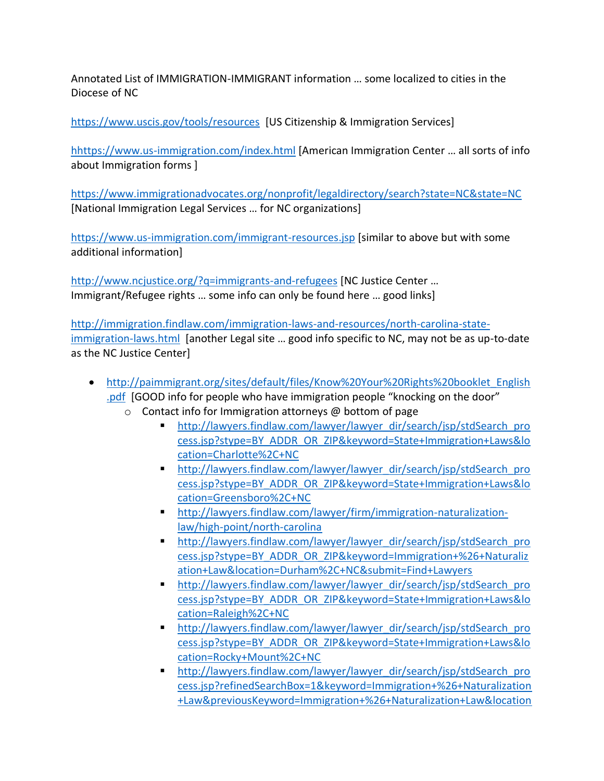Annotated List of IMMIGRATION-IMMIGRANT information … some localized to cities in the Diocese of NC

<https://www.uscis.gov/tools/resources>[US Citizenship & Immigration Services]

[hhttps://www.us-immigration.com/index.html](https://www.us-immigration.com/replace-lost-stolen-green-card-Form-I-90.html?referrer=bing-cpc-52164988-renew%20green%20card~118585135352$m=bb-b$g=1771364697-73873490889277&utm_source=bing&utm_medium=cpc&utm_campaign=Green%20Card%20-%20SRCH&utm_term=renew%20green%20card&utm_content=renew%20green%20card) [American Immigration Center ... all sorts of info about Immigration forms ]

<https://www.immigrationadvocates.org/nonprofit/legaldirectory/search?state=NC&state=NC> [National Immigration Legal Services … for NC organizations]

<https://www.us-immigration.com/immigrant-resources.jsp> [similar to above but with some additional information]

<http://www.ncjustice.org/?q=immigrants-and-refugees> [NC Justice Center ... Immigrant/Refugee rights … some info can only be found here … good links]

[http://immigration.findlaw.com/immigration-laws-and-resources/north-carolina-state](http://immigration.findlaw.com/immigration-laws-and-resources/north-carolina-state-immigration-laws.html)[immigration-laws.html](http://immigration.findlaw.com/immigration-laws-and-resources/north-carolina-state-immigration-laws.html) [another Legal site … good info specific to NC, may not be as up-to-date as the NC Justice Center]

- [http://paimmigrant.org/sites/default/files/Know%20Your%20Rights%20booklet\\_English](http://paimmigrant.org/sites/default/files/Know%20Your%20Rights%20booklet_English.pdf) [.pdf](http://paimmigrant.org/sites/default/files/Know%20Your%20Rights%20booklet_English.pdf) [GOOD info for people who have immigration people "knocking on the door"
	- $\circ$  Contact info for Immigration attorneys @ bottom of page
		- [http://lawyers.findlaw.com/lawyer/lawyer\\_dir/search/jsp/stdSearch\\_pro](http://lawyers.findlaw.com/lawyer/lawyer_dir/search/jsp/stdSearch_process.jsp?stype=BY_ADDR_OR_ZIP&keyword=State+Immigration+Laws&location=Charlotte%2C+NC) [cess.jsp?stype=BY\\_ADDR\\_OR\\_ZIP&keyword=State+Immigration+Laws&lo](http://lawyers.findlaw.com/lawyer/lawyer_dir/search/jsp/stdSearch_process.jsp?stype=BY_ADDR_OR_ZIP&keyword=State+Immigration+Laws&location=Charlotte%2C+NC) [cation=Charlotte%2C+NC](http://lawyers.findlaw.com/lawyer/lawyer_dir/search/jsp/stdSearch_process.jsp?stype=BY_ADDR_OR_ZIP&keyword=State+Immigration+Laws&location=Charlotte%2C+NC)
		- [http://lawyers.findlaw.com/lawyer/lawyer\\_dir/search/jsp/stdSearch\\_pro](http://lawyers.findlaw.com/lawyer/lawyer_dir/search/jsp/stdSearch_process.jsp?stype=BY_ADDR_OR_ZIP&keyword=State+Immigration+Laws&location=Greensboro%2C+NC) [cess.jsp?stype=BY\\_ADDR\\_OR\\_ZIP&keyword=State+Immigration+Laws&lo](http://lawyers.findlaw.com/lawyer/lawyer_dir/search/jsp/stdSearch_process.jsp?stype=BY_ADDR_OR_ZIP&keyword=State+Immigration+Laws&location=Greensboro%2C+NC) [cation=Greensboro%2C+NC](http://lawyers.findlaw.com/lawyer/lawyer_dir/search/jsp/stdSearch_process.jsp?stype=BY_ADDR_OR_ZIP&keyword=State+Immigration+Laws&location=Greensboro%2C+NC)
		- [http://lawyers.findlaw.com/lawyer/firm/immigration-naturalization](http://lawyers.findlaw.com/lawyer/firm/immigration-naturalization-law/high-point/north-carolina)[law/high-point/north-carolina](http://lawyers.findlaw.com/lawyer/firm/immigration-naturalization-law/high-point/north-carolina)
		- [http://lawyers.findlaw.com/lawyer/lawyer\\_dir/search/jsp/stdSearch\\_pro](http://lawyers.findlaw.com/lawyer/lawyer_dir/search/jsp/stdSearch_process.jsp?stype=BY_ADDR_OR_ZIP&keyword=Immigration+%26+Naturalization+Law&location=Durham%2C+NC&submit=Find+Lawyers) [cess.jsp?stype=BY\\_ADDR\\_OR\\_ZIP&keyword=Immigration+%26+Naturaliz](http://lawyers.findlaw.com/lawyer/lawyer_dir/search/jsp/stdSearch_process.jsp?stype=BY_ADDR_OR_ZIP&keyword=Immigration+%26+Naturalization+Law&location=Durham%2C+NC&submit=Find+Lawyers) [ation+Law&location=Durham%2C+NC&submit=Find+Lawyers](http://lawyers.findlaw.com/lawyer/lawyer_dir/search/jsp/stdSearch_process.jsp?stype=BY_ADDR_OR_ZIP&keyword=Immigration+%26+Naturalization+Law&location=Durham%2C+NC&submit=Find+Lawyers)
		- [http://lawyers.findlaw.com/lawyer/lawyer\\_dir/search/jsp/stdSearch\\_pro](http://lawyers.findlaw.com/lawyer/lawyer_dir/search/jsp/stdSearch_process.jsp?stype=BY_ADDR_OR_ZIP&keyword=State+Immigration+Laws&location=Raleigh%2C+NC) [cess.jsp?stype=BY\\_ADDR\\_OR\\_ZIP&keyword=State+Immigration+Laws&lo](http://lawyers.findlaw.com/lawyer/lawyer_dir/search/jsp/stdSearch_process.jsp?stype=BY_ADDR_OR_ZIP&keyword=State+Immigration+Laws&location=Raleigh%2C+NC) [cation=Raleigh%2C+NC](http://lawyers.findlaw.com/lawyer/lawyer_dir/search/jsp/stdSearch_process.jsp?stype=BY_ADDR_OR_ZIP&keyword=State+Immigration+Laws&location=Raleigh%2C+NC)
		- **E** [http://lawyers.findlaw.com/lawyer/lawyer\\_dir/search/jsp/stdSearch\\_pro](http://lawyers.findlaw.com/lawyer/lawyer_dir/search/jsp/stdSearch_process.jsp?stype=BY_ADDR_OR_ZIP&keyword=State+Immigration+Laws&location=Rocky+Mount%2C+NC) [cess.jsp?stype=BY\\_ADDR\\_OR\\_ZIP&keyword=State+Immigration+Laws&lo](http://lawyers.findlaw.com/lawyer/lawyer_dir/search/jsp/stdSearch_process.jsp?stype=BY_ADDR_OR_ZIP&keyword=State+Immigration+Laws&location=Rocky+Mount%2C+NC) [cation=Rocky+Mount%2C+NC](http://lawyers.findlaw.com/lawyer/lawyer_dir/search/jsp/stdSearch_process.jsp?stype=BY_ADDR_OR_ZIP&keyword=State+Immigration+Laws&location=Rocky+Mount%2C+NC)
		- [http://lawyers.findlaw.com/lawyer/lawyer\\_dir/search/jsp/stdSearch\\_pro](http://lawyers.findlaw.com/lawyer/lawyer_dir/search/jsp/stdSearch_process.jsp?refinedSearchBox=1&keyword=Immigration+%26+Naturalization+Law&previousKeyword=Immigration+%26+Naturalization+Law&location=Snadhills%2C+NC&previousLocation=Rocky+Mount%2C+NC%2C+USA&sortBy=distance_default&sLanguage=default) [cess.jsp?refinedSearchBox=1&keyword=Immigration+%26+Naturalization](http://lawyers.findlaw.com/lawyer/lawyer_dir/search/jsp/stdSearch_process.jsp?refinedSearchBox=1&keyword=Immigration+%26+Naturalization+Law&previousKeyword=Immigration+%26+Naturalization+Law&location=Snadhills%2C+NC&previousLocation=Rocky+Mount%2C+NC%2C+USA&sortBy=distance_default&sLanguage=default) [+Law&previousKeyword=Immigration+%26+Naturalization+Law&location](http://lawyers.findlaw.com/lawyer/lawyer_dir/search/jsp/stdSearch_process.jsp?refinedSearchBox=1&keyword=Immigration+%26+Naturalization+Law&previousKeyword=Immigration+%26+Naturalization+Law&location=Snadhills%2C+NC&previousLocation=Rocky+Mount%2C+NC%2C+USA&sortBy=distance_default&sLanguage=default)